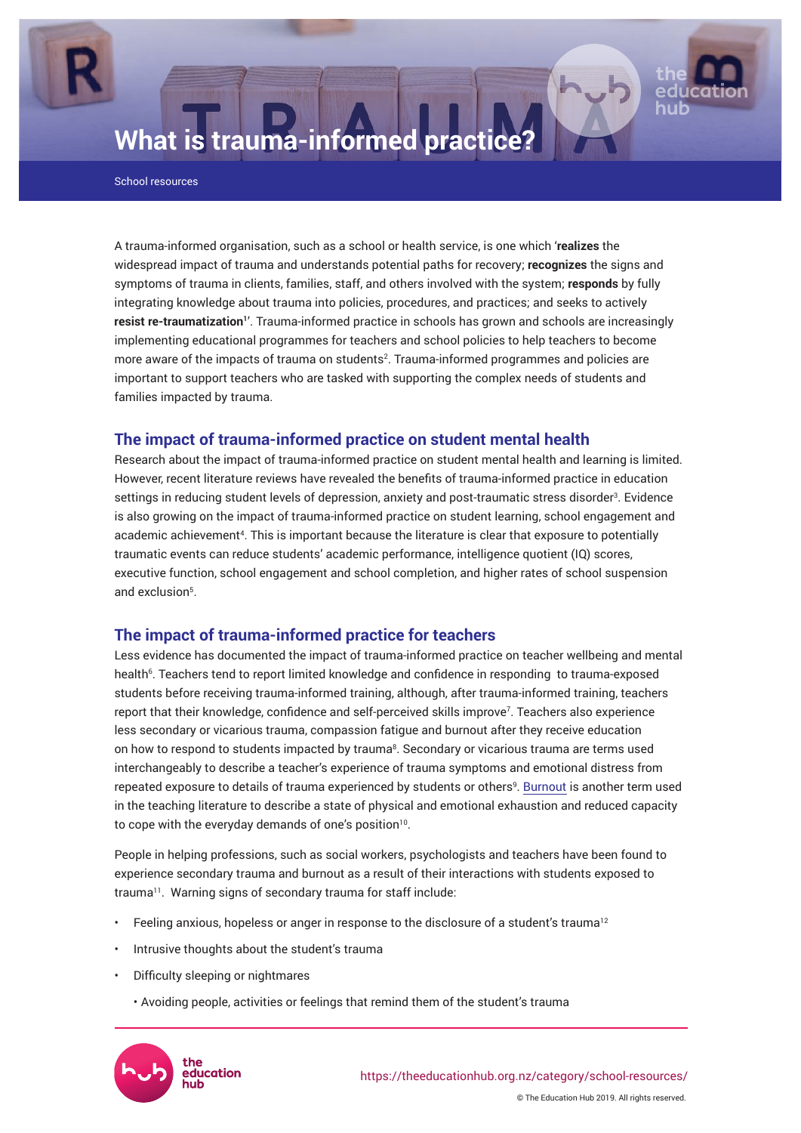

# **What is trauma-informed practice?**

School resources

A trauma-informed organisation, such as a school or health service, is one which '**realizes** the widespread impact of trauma and understands potential paths for recovery; **recognizes** the signs and symptoms of trauma in clients, families, staff, and others involved with the system; **responds** by fully integrating knowledge about trauma into policies, procedures, and practices; and seeks to actively **resist re-traumatization'**'. Trauma-informed practice in schools has grown and schools are increasingly implementing educational programmes for teachers and school policies to help teachers to become more aware of the impacts of trauma on students<sup>2</sup>. Trauma-informed programmes and policies are important to support teachers who are tasked with supporting the complex needs of students and families impacted by trauma.

## **The impact of trauma-informed practice on student mental health**

Research about the impact of trauma-informed practice on student mental health and learning is limited. However, recent literature reviews have revealed the benefits of trauma-informed practice in education settings in reducing student levels of depression, anxiety and post-traumatic stress disorder<sup>3</sup>. Evidence is also growing on the impact of trauma-informed practice on student learning, school engagement and academic achievement<sup>4</sup>. This is important because the literature is clear that exposure to potentially traumatic events can reduce students' academic performance, intelligence quotient (IQ) scores, executive function, school engagement and school completion, and higher rates of school suspension and exclusion<sup>5</sup> .

# **The impact of trauma-informed practice for teachers**

Less evidence has documented the impact of trauma-informed practice on teacher wellbeing and mental health<sup>6</sup>. Teachers tend to report limited knowledge and confidence in responding to trauma-exposed students before receiving trauma-informed training, although, after trauma-informed training, teachers report that their knowledge, confidence and self-perceived skills improve<sup>7</sup> . Teachers also experience less secondary or vicarious trauma, compassion fatigue and burnout after they receive education on how to respond to students impacted by trauma<sup>8</sup>. Secondary or vicarious trauma are terms used interchangeably to describe a teacher's experience of trauma symptoms and emotional distress from repeated exposure to details of trauma experienced by students or others<sup>9</sup>. [Burnout](https://theeducationhub.org.nz/preventing-burnout-in-schools/) is another term used in the teaching literature to describe a state of physical and emotional exhaustion and reduced capacity to cope with the everyday demands of one's position $10$ .

People in helping professions, such as social workers, psychologists and teachers have been found to experience secondary trauma and burnout as a result of their interactions with students exposed to trauma<sup>11</sup>. Warning signs of secondary trauma for staff include:

- Feeling anxious, hopeless or anger in response to the disclosure of a student's trauma<sup>12</sup>
- Intrusive thoughts about the student's trauma
- Difficulty sleeping or nightmares
	- Avoiding people, activities or feelings that remind them of the student's trauma



© The Education Hub 2019. All rights reserved.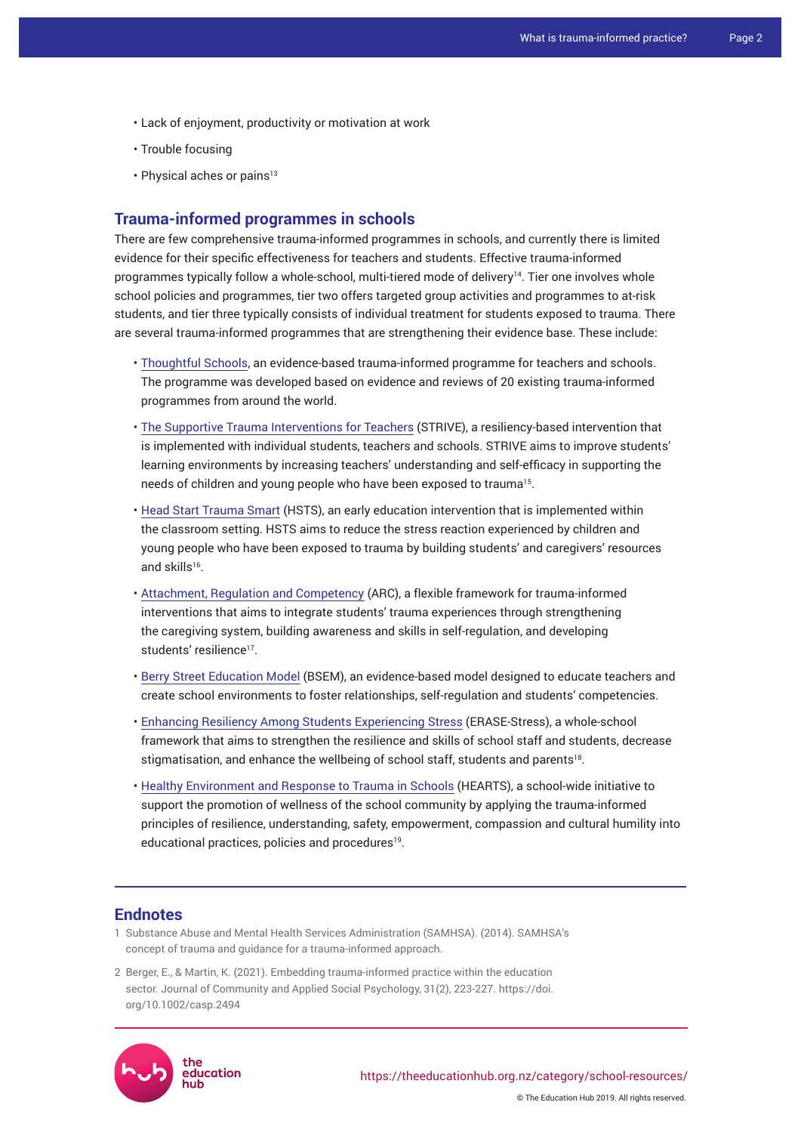- Lack of enjoyment, productivity or motivation at work
- Trouble focusing
- $\cdot$  Physical aches or pains<sup>13</sup>

#### **Trauma-informed programmes in schools**

There are few comprehensive trauma-informed programmes in schools, and currently there is limited evidence for their specific effectiveness for teachers and students. Effective trauma-informed programmes typically follow a whole-school, multi-tiered mode of delivery<sup>14</sup>. Tier one involves whole school policies and programmes, tier two offers targeted group activities and programmes to at-risk students, and tier three typically consists of individual treatment for students exposed to trauma. There are several trauma-informed programmes that are strengthening their evidence base. These include:

- [Thoughtful Schools](https://thoughtfulschools.org.au/), an evidence-based trauma-informed programme for teachers and schools. The programme was developed based on evidence and reviews of 20 existing trauma-informed programmes from around the world.
- [The Supportive Trauma Interventions for Teachers](https://www.vitalvillage.org/projects/innovations-in-education/supportive-trauma-interventions-for-educators) (STRIVE), a resiliency-based intervention that is implemented with individual students, teachers and schools. STRIVE aims to improve students' learning environments by increasing teachers' understanding and self-efficacy in supporting the needs of children and young people who have been exposed to trauma<sup>15</sup>.
- [Head Start Trauma Smart](http://traumasmart.org/) (HSTS), an early education intervention that is implemented within the classroom setting. HSTS aims to reduce the stress reaction experienced by children and young people who have been exposed to trauma by building students' and caregivers' resources and skills<sup>16</sup>.
- [Attachment, Regulation and Competency](https://arcframework.org/what-is-arc/) (ARC), a flexible framework for trauma-informed interventions that aims to integrate students' trauma experiences through strengthening the caregiving system, building awareness and skills in self-regulation, and developing students' resilience<sup>17</sup>.
- [Berry Street Education Model](https://www.berrystreet.org.au/learning-and-resources/berry-street-education-model) (BSEM), an evidence-based model designed to educate teachers and create school environments to foster relationships, self-regulation and students' competencies.
- [Enhancing Resiliency Among Students Experiencing Stress](https://nikkoladanielassociates.co.uk/erase-stress/) (ERASE-Stress), a whole-school framework that aims to strengthen the resilience and skills of school staff and students, decrease stigmatisation, and enhance the wellbeing of school staff, students and parents $^{18}$ .
- [Healthy Environment and Response to Trauma in Schools](https://hearts.ucsf.edu/hearts-trauma-informed-principles) (HEARTS), a school-wide initiative to support the promotion of wellness of the school community by applying the trauma-informed principles of resilience, understanding, safety, empowerment, compassion and cultural humility into educational practices, policies and procedures $^{19}$ .

### **Endnotes**

- 1 Substance Abuse and Mental Health Services Administration (SAMHSA). (2014). [SAMHSA's](https://ncsacw.samhsa.gov/userfiles/files/SAMHSA_Trauma.pdf)  [concept of trauma and guidance for a trauma-informed approach](https://ncsacw.samhsa.gov/userfiles/files/SAMHSA_Trauma.pdf).
- 2 Berger, E., & Martin, K. (2021). Embedding trauma-informed practice within the education sector. Journal of Community and Applied Social Psychology, 31(2), 223-227. [https://doi.](https://doi.org/10.1002/casp.2494) [org/10.1002/casp.2494](https://doi.org/10.1002/casp.2494)



© The Education Hub 2019. All rights reserved.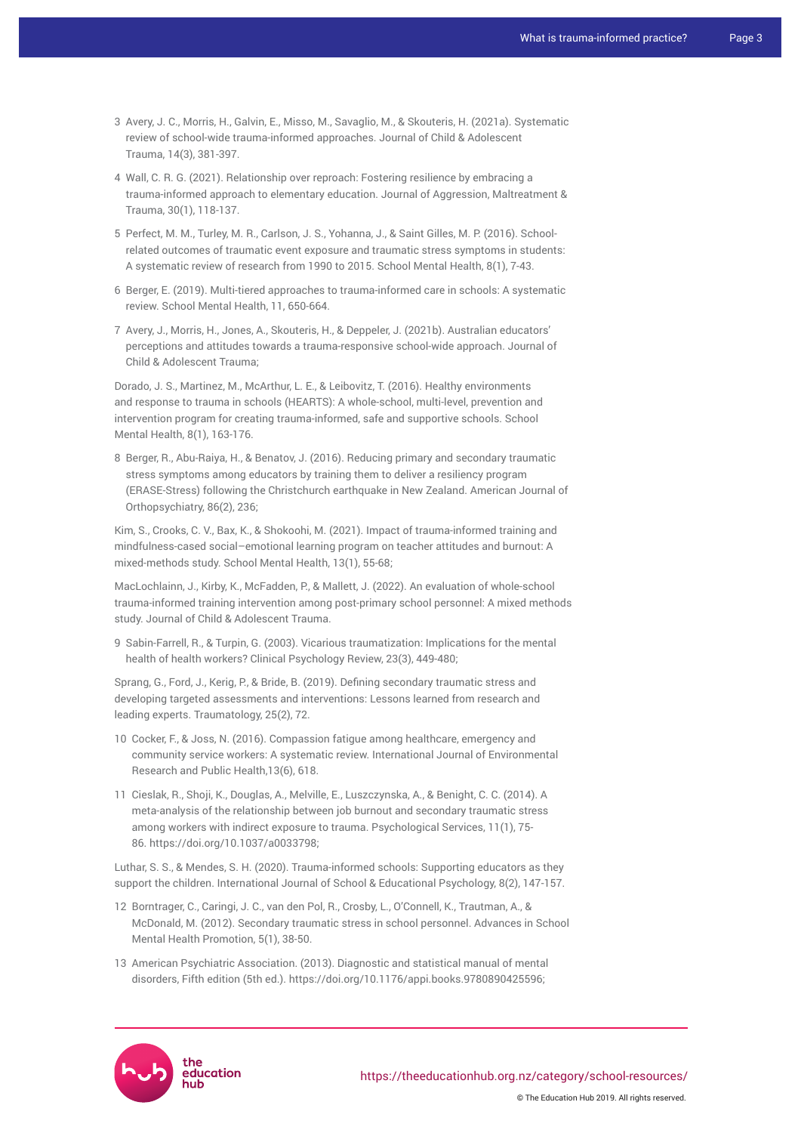- 3 Avery, J. C., Morris, H., Galvin, E., Misso, M., Savaglio, M., & Skouteris, H. (2021a). Systematic review of school-wide trauma-informed approaches. Journal of Child & Adolescent Trauma, 14(3), 381-397.
- 4 Wall, C. R. G. (2021). Relationship over reproach: Fostering resilience by embracing a trauma-informed approach to elementary education. Journal of Aggression, Maltreatment & Trauma, 30(1), 118-137.
- 5 Perfect, M. M., Turley, M. R., Carlson, J. S., Yohanna, J., & Saint Gilles, M. P. (2016). Schoolrelated outcomes of traumatic event exposure and traumatic stress symptoms in students: A systematic review of research from 1990 to 2015. School Mental Health, 8(1), 7-43.
- 6 Berger, E. (2019). Multi-tiered approaches to trauma-informed care in schools: A systematic review. School Mental Health, 11, 650-664.
- 7 Avery, J., Morris, H., Jones, A., Skouteris, H., & Deppeler, J. (2021b). Australian educators' perceptions and attitudes towards a trauma-responsive school-wide approach. Journal of Child & Adolescent Trauma;

Dorado, J. S., Martinez, M., McArthur, L. E., & Leibovitz, T. (2016). Healthy environments and response to trauma in schools (HEARTS): A whole-school, multi-level, prevention and intervention program for creating trauma-informed, safe and supportive schools. School Mental Health, 8(1), 163-176.

8 Berger, R., Abu-Raiya, H., & Benatov, J. (2016). Reducing primary and secondary traumatic stress symptoms among educators by training them to deliver a resiliency program (ERASE-Stress) following the Christchurch earthquake in New Zealand. American Journal of Orthopsychiatry, 86(2), 236;

Kim, S., Crooks, C. V., Bax, K., & Shokoohi, M. (2021). Impact of trauma-informed training and mindfulness-cased social–emotional learning program on teacher attitudes and burnout: A mixed-methods study. School Mental Health, 13(1), 55-68;

MacLochlainn, J., Kirby, K., McFadden, P., & Mallett, J. (2022). An evaluation of whole-school trauma-informed training intervention among post-primary school personnel: A mixed methods study. Journal of Child & Adolescent Trauma.

9 Sabin-Farrell, R., & Turpin, G. (2003). Vicarious traumatization: Implications for the mental health of health workers? Clinical Psychology Review, 23(3), 449-480;

Sprang, G., Ford, J., Kerig, P., & Bride, B. (2019). Defining secondary traumatic stress and developing targeted assessments and interventions: Lessons learned from research and leading experts. Traumatology, 25(2), 72.

- 10 Cocker, F., & Joss, N. (2016). Compassion fatigue among healthcare, emergency and community service workers: A systematic review. International Journal of Environmental Research and Public Health,13(6), 618.
- 11 Cieslak, R., Shoji, K., Douglas, A., Melville, E., Luszczynska, A., & Benight, C. C. (2014). A meta-analysis of the relationship between job burnout and secondary traumatic stress among workers with indirect exposure to trauma. Psychological Services, 11(1), 75- 86. [https://doi.org/10.1037/a0033798](https://doi.apa.org/doi/10.1037/a0033798);

Luthar, S. S., & Mendes, S. H. (2020). Trauma-informed schools: Supporting educators as they support the children. International Journal of School & Educational Psychology, 8(2), 147-157.

- 12 Borntrager, C., Caringi, J. C., van den Pol, R., Crosby, L., O'Connell, K., Trautman, A., & McDonald, M. (2012). Secondary traumatic stress in school personnel. Advances in School Mental Health Promotion, 5(1), 38-50.
- 13 American Psychiatric Association. (2013). Diagnostic and statistical manual of mental disorders, Fifth edition (5th ed.). <https://doi.org/10.1176/appi.books.9780890425596>;